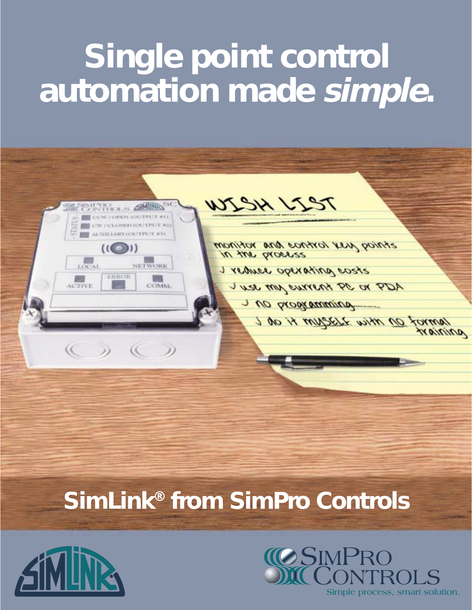# **Single point control automation made simple.**



# **SimLink® from SimPro Controls**



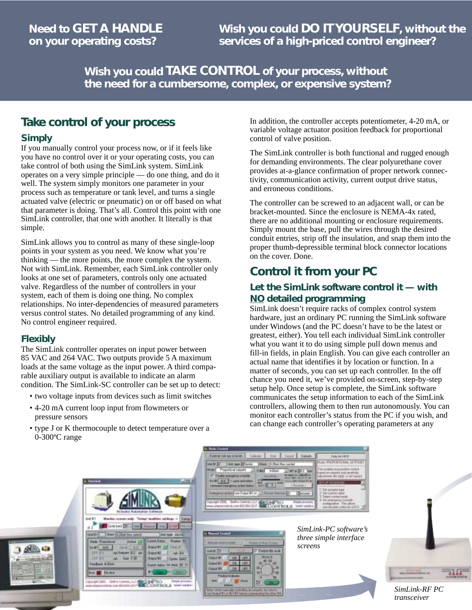**Wish you could TAKE CONTROL of your process, without the need for a cumbersome, complex, or expensive system?**

### **Take control of your process**

### **Simply**

If you manually control your process now, or if it feels like you have no control over it or your operating costs, you can take control of both using the SimLink system. SimLink operates on a very simple principle — do one thing, and do it well. The system simply monitors one parameter in your process such as temperature or tank level, and turns a single actuated valve (electric or pneumatic) on or off based on what that parameter is doing. That's all. Control this point with one SimLink controller, that one with another. It literally is that simple.

SimLink allows you to control as many of these single-loop points in your system as you need. We know what you're thinking — the more points, the more complex the system. Not with SimLink. Remember, each SimLink controller only looks at one set of parameters, controls only one actuated valve. Regardless of the number of controllers in your system, each of them is doing one thing. No complex relationships. No inter-dependencies of measured parameters versus control states. No detailed programming of any kind. No control engineer required.

#### **Flexibly**

The SimLink controller operates on input power between 85 VAC and 264 VAC. Two outputs provide 5 A maximum loads at the same voltage as the input power. A third comparable auxiliary output is available to indicate an alarm condition. The SimLink-SC controller can be set up to detect:

- two voltage inputs from devices such as limit switches
- 4-20 mA current loop input from flowmeters or pressure sensors
- type J or K thermocouple to detect temperature over a 0-300ºC range

In addition, the controller accepts potentiometer, 4-20 mA, or variable voltage actuator position feedback for proportional control of valve position.

The SimLink controller is both functional and rugged enough for demanding environments. The clear polyurethane cover provides at-a-glance confirmation of proper network connectivity, communication activity, current output drive status, and erroneous conditions.

The controller can be screwed to an adjacent wall, or can be bracket-mounted. Since the enclosure is NEMA-4x rated, there are no additional mounting or enclosure requirements. Simply mount the base, pull the wires through the desired conduit entries, strip off the insulation, and snap them into the proper thumb-depressible terminal block connector locations on the cover. Done.

### **Control it from your PC**

### **Let the SimLink software control it — with NO detailed programming**

SimLink doesn't require racks of complex control system hardware, just an ordinary PC running the SimLink software under Windows (and the PC doesn't have to be the latest or greatest, either). You tell each individual SimLink controller what you want it to do using simple pull down menus and fill-in fields, in plain English. You can give each controller an actual name that identifies it by location or function. In a matter of seconds, you can set up each controller. In the off chance you need it, we've provided on-screen, step-by-step setup help. Once setup is complete, the SimLink software communicates the setup information to each of the SimLink controllers, allowing them to then run autonomously. You can monitor each controller's status from the PC if you wish, and can change each controller's operating parameters at any



| $\frac{1}{2}$<br>Actualist AutoMatian Safewar                                      |                                                     |
|------------------------------------------------------------------------------------|-----------------------------------------------------|
|                                                                                    |                                                     |
| $-1104$<br>14 20set Raw o<br>3482<br><b>AD</b><br><b>DAWL BAN</b><br><b>STP RX</b> | <b>Cursuit B</b><br><b>GALES</b><br><b>Guest KT</b> |
| <b>LEP IS --</b><br>$N$ Gas 136<br>Feedback # (Elish)                              | <b>Guess #3</b><br><b>Series EAK!</b>               |
| <b>Des El Tirms</b>                                                                | m                                                   |



*SimLink-PC software's three simple interface screens*



*SimLink-RF PC transceiver*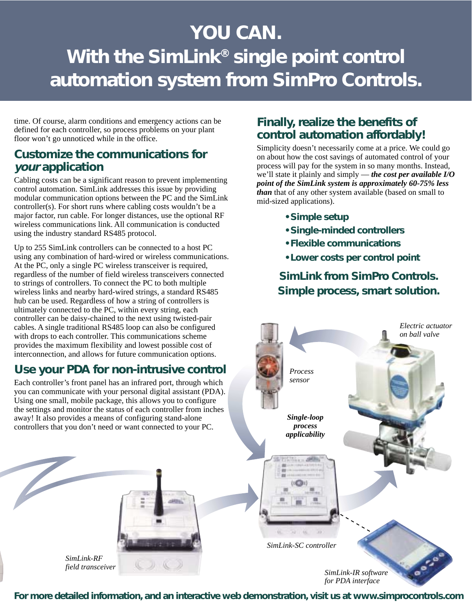# **YOU CAN. With the SimLink® single point control automation system from SimPro Controls.**

time. Of course, alarm conditions and emergency actions can be defined for each controller, so process problems on your plant floor won't go unnoticed while in the office.

### **Customize the communications for your application**

Cabling costs can be a significant reason to prevent implementing control automation. SimLink addresses this issue by providing modular communication options between the PC and the SimLink controller(s). For short runs where cabling costs wouldn't be a major factor, run cable. For longer distances, use the optional RF wireless communications link. All communication is conducted using the industry standard RS485 protocol.

Up to 255 SimLink controllers can be connected to a host PC using any combination of hard-wired or wireless communications. At the PC, only a single PC wireless transceiver is required, regardless of the number of field wireless transceivers connected to strings of controllers. To connect the PC to both multiple wireless links and nearby hard-wired strings, a standard RS485 hub can be used. Regardless of how a string of controllers is ultimately connected to the PC, within every string, each controller can be daisy-chained to the next using twisted-pair cables. A single traditional RS485 loop can also be configured with drops to each controller. This communications scheme provides the maximum flexibility and lowest possible cost of interconnection, and allows for future communication options.

### **Use your PDA for non-intrusive control**

Each controller's front panel has an infrared port, through which you can communicate with your personal digital assistant (PDA). Using one small, mobile package, this allows you to configure the settings and monitor the status of each controller from inches away! It also provides a means of configuring stand-alone controllers that you don't need or want connected to your PC.

### **Finally, realize the benefits of control automation affordably!**

Simplicity doesn't necessarily come at a price. We could go on about how the cost savings of automated control of your process will pay for the system in so many months. Instead, we'll state it plainly and simply — *the cost per available I/O point of the SimLink system is approximately 60-75% less than* that of any other system available (based on small to mid-sized applications).

- **Simple setup**
- **Single-minded controllers**
- **Flexible communications**
- **Lower costs per control point**

**SimLink from SimPro Controls. Simple process, smart solution.**



*for PDA interface*

*SimLink-RF field transceiver*

**For more detailed information, and an interactive web demonstration, visit us at www.simprocontrols.com**